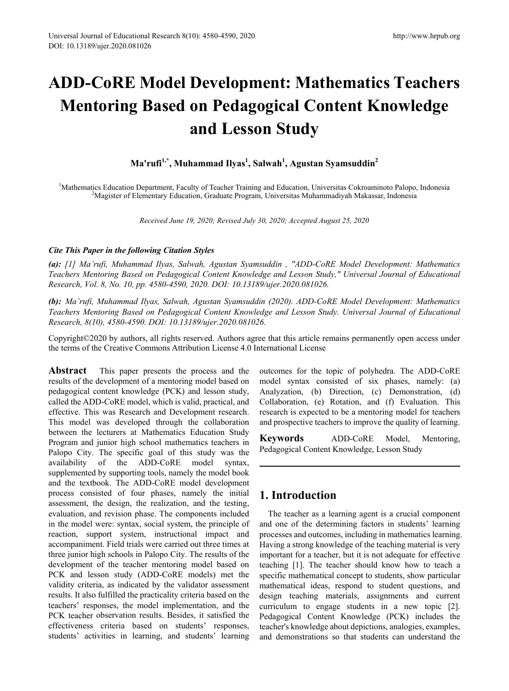# **ADD-CoRE Model Development: Mathematics Teachers Mentoring Based on Pedagogical Content Knowledge and Lesson Study**

**Ma'rufi1,\*, Muhammad Ilyas1 , Salwah1 , Agustan Syamsuddin<sup>2</sup>**

<sup>1</sup>Mathematics Education Department, Faculty of Teacher Training and Education, Universitas Cokroaminoto Palopo, Indonesia<br><sup>2</sup>Magister of Elementary Education, Graduate Program, Universitas Muhammadiyah Makassar, Indonesia <sup>2</sup>Magister of Elementary Education, Graduate Program, Universitas Muhammadiyah Makassar, Indonesia

*Received June 19, 2020; Revised July 30, 2020; Accepted August 25, 2020*

## *Cite This Paper in the following Citation Styles*

*(a): [1] Ma'rufi, Muhammad Ilyas, Salwah, Agustan Syamsuddin , "ADD-CoRE Model Development: Mathematics Teachers Mentoring Based on Pedagogical Content Knowledge and Lesson Study," Universal Journal of Educational Research, Vol. 8, No. 10, pp. 4580-4590, 2020. DOI: 10.13189/ujer.2020.081026.* 

*(b): Ma'rufi, Muhammad Ilyas, Salwah, Agustan Syamsuddin (2020). ADD-CoRE Model Development: Mathematics Teachers Mentoring Based on Pedagogical Content Knowledge and Lesson Study. Universal Journal of Educational Research, 8(10), 4580-4590. DOI: 10.13189/ujer.2020.081026.* 

Copyright©2020 by authors, all rights reserved. Authors agree that this article remains permanently open access under the terms of the Creative Commons Attribution License 4.0 International License

**Abstract** This paper presents the process and the results of the development of a mentoring model based on pedagogical content knowledge (PCK) and lesson study, called the ADD-CoRE model, which is valid, practical, and effective. This was Research and Development research. This model was developed through the collaboration between the lecturers at Mathematics Education Study Program and junior high school mathematics teachers in Palopo City. The specific goal of this study was the availability of the ADD-CoRE model syntax, supplemented by supporting tools, namely the model book and the textbook. The ADD-CoRE model development process consisted of four phases, namely the initial assessment, the design, the realization, and the testing, evaluation, and revision phase. The components included in the model were: syntax, social system, the principle of reaction, support system, instructional impact and accompaniment. Field trials were carried out three times at three junior high schools in Palopo City. The results of the development of the teacher mentoring model based on PCK and lesson study (ADD-CoRE models) met the validity criteria, as indicated by the validator assessment results. It also fulfilled the practicality criteria based on the teachers' responses, the model implementation, and the PCK teacher observation results. Besides, it satisfied the effectiveness criteria based on students' responses, students' activities in learning, and students' learning

outcomes for the topic of polyhedra. The ADD-CoRE model syntax consisted of six phases, namely: (a) Analyzation, (b) Direction, (c) Demonstration, (d) Collaboration, (e) Rotation, and (f) Evaluation. This research is expected to be a mentoring model for teachers and prospective teachers to improve the quality of learning.

**Keywords** ADD-CoRE Model, Mentoring, Pedagogical Content Knowledge, Lesson Study

# **1. Introduction**

The teacher as a learning agent is a crucial component and one of the determining factors in students' learning processes and outcomes, including in mathematics learning. Having a strong knowledge of the teaching material is very important for a teacher, but it is not adequate for effective teaching [1]. The teacher should know how to teach a specific mathematical concept to students, show particular mathematical ideas, respond to student questions, and design teaching materials, assignments and current curriculum to engage students in a new topic [2]. Pedagogical Content Knowledge (PCK) includes the teacher's knowledge about depictions, analogies, examples, and demonstrations so that students can understand the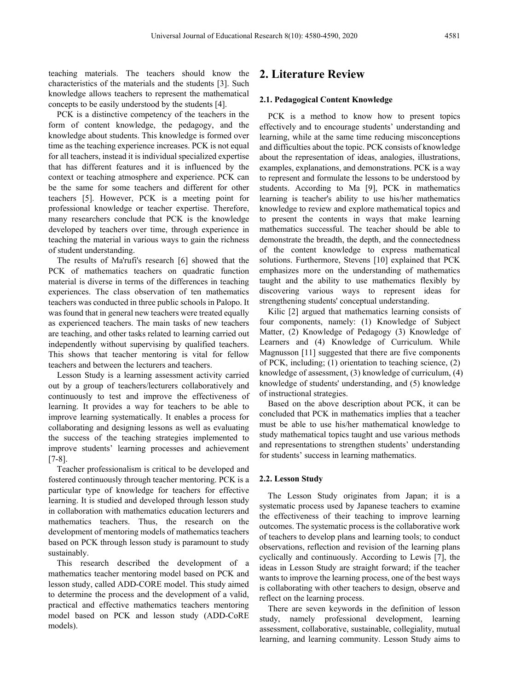teaching materials. The teachers should know the characteristics of the materials and the students [3]. Such knowledge allows teachers to represent the mathematical concepts to be easily understood by the students [4].

PCK is a distinctive competency of the teachers in the form of content knowledge, the pedagogy, and the knowledge about students. This knowledge is formed over time as the teaching experience increases. PCK is not equal for all teachers, instead it is individual specialized expertise that has different features and it is influenced by the context or teaching atmosphere and experience. PCK can be the same for some teachers and different for other teachers [5]. However, PCK is a meeting point for professional knowledge or teacher expertise. Therefore, many researchers conclude that PCK is the knowledge developed by teachers over time, through experience in teaching the material in various ways to gain the richness of student understanding.

The results of Ma'rufi's research [6] showed that the PCK of mathematics teachers on quadratic function material is diverse in terms of the differences in teaching experiences. The class observation of ten mathematics teachers was conducted in three public schools in Palopo. It was found that in general new teachers were treated equally as experienced teachers. The main tasks of new teachers are teaching, and other tasks related to learning carried out independently without supervising by qualified teachers. This shows that teacher mentoring is vital for fellow teachers and between the lecturers and teachers.

Lesson Study is a learning assessment activity carried out by a group of teachers/lecturers collaboratively and continuously to test and improve the effectiveness of learning. It provides a way for teachers to be able to improve learning systematically. It enables a process for collaborating and designing lessons as well as evaluating the success of the teaching strategies implemented to improve students' learning processes and achievement [7-8].

Teacher professionalism is critical to be developed and fostered continuously through teacher mentoring. PCK is a particular type of knowledge for teachers for effective learning. It is studied and developed through lesson study in collaboration with mathematics education lecturers and mathematics teachers. Thus, the research on the development of mentoring models of mathematics teachers based on PCK through lesson study is paramount to study sustainably.

This research described the development of a mathematics teacher mentoring model based on PCK and lesson study, called ADD-CORE model. This study aimed to determine the process and the development of a valid, practical and effective mathematics teachers mentoring model based on PCK and lesson study (ADD-CoRE models).

## **2. Literature Review**

#### **2.1. Pedagogical Content Knowledge**

PCK is a method to know how to present topics effectively and to encourage students' understanding and learning, while at the same time reducing misconceptions and difficulties about the topic. PCK consists of knowledge about the representation of ideas, analogies, illustrations, examples, explanations, and demonstrations. PCK is a way to represent and formulate the lessons to be understood by students. According to Ma [9], PCK in mathematics learning is teacher's ability to use his/her mathematics knowledge to review and explore mathematical topics and to present the contents in ways that make learning mathematics successful. The teacher should be able to demonstrate the breadth, the depth, and the connectedness of the content knowledge to express mathematical solutions. Furthermore, Stevens [10] explained that PCK emphasizes more on the understanding of mathematics taught and the ability to use mathematics flexibly by discovering various ways to represent ideas for strengthening students' conceptual understanding.

Kilic [2] argued that mathematics learning consists of four components, namely: (1) Knowledge of Subject Matter, (2) Knowledge of Pedagogy (3) Knowledge of Learners and (4) Knowledge of Curriculum. While Magnusson [11] suggested that there are five components of PCK, including; (1) orientation to teaching science, (2) knowledge of assessment, (3) knowledge of curriculum, (4) knowledge of students' understanding, and (5) knowledge of instructional strategies.

Based on the above description about PCK, it can be concluded that PCK in mathematics implies that a teacher must be able to use his/her mathematical knowledge to study mathematical topics taught and use various methods and representations to strengthen students' understanding for students' success in learning mathematics.

#### **2.2. Lesson Study**

The Lesson Study originates from Japan; it is a systematic process used by Japanese teachers to examine the effectiveness of their teaching to improve learning outcomes. The systematic process is the collaborative work of teachers to develop plans and learning tools; to conduct observations, reflection and revision of the learning plans cyclically and continuously. According to Lewis [7], the ideas in Lesson Study are straight forward; if the teacher wants to improve the learning process, one of the best ways is collaborating with other teachers to design, observe and reflect on the learning process.

There are seven keywords in the definition of lesson study, namely professional development, learning assessment, collaborative, sustainable, collegiality, mutual learning, and learning community. Lesson Study aims to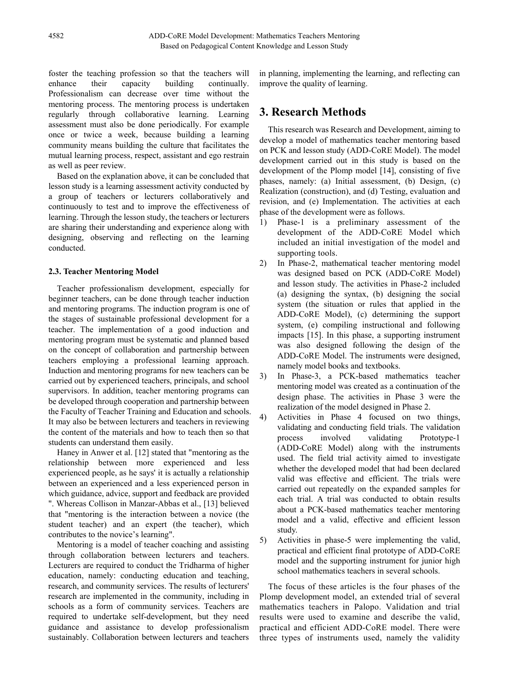foster the teaching profession so that the teachers will<br>enhance their capacity building continually. their capacity building continually. Professionalism can decrease over time without the mentoring process. The mentoring process is undertaken regularly through collaborative learning. Learning assessment must also be done periodically. For example once or twice a week, because building a learning community means building the culture that facilitates the mutual learning process, respect, assistant and ego restrain as well as peer review.

Based on the explanation above, it can be concluded that lesson study is a learning assessment activity conducted by a group of teachers or lecturers collaboratively and continuously to test and to improve the effectiveness of learning. Through the lesson study, the teachers or lecturers are sharing their understanding and experience along with designing, observing and reflecting on the learning conducted.

#### **2.3. Teacher Mentoring Model**

Teacher professionalism development, especially for beginner teachers, can be done through teacher induction and mentoring programs. The induction program is one of the stages of sustainable professional development for a teacher. The implementation of a good induction and mentoring program must be systematic and planned based on the concept of collaboration and partnership between teachers employing a professional learning approach. Induction and mentoring programs for new teachers can be carried out by experienced teachers, principals, and school supervisors. In addition, teacher mentoring programs can be developed through cooperation and partnership between the Faculty of Teacher Training and Education and schools. It may also be between lecturers and teachers in reviewing the content of the materials and how to teach then so that students can understand them easily.

Haney in Anwer et al. [12] stated that "mentoring as the relationship between more experienced and less experienced people, as he says' it is actually a relationship between an experienced and a less experienced person in which guidance, advice, support and feedback are provided ". Whereas Collison in Manzar-Abbas et al., [13] believed that "mentoring is the interaction between a novice (the student teacher) and an expert (the teacher), which contributes to the novice's learning".

Mentoring is a model of teacher coaching and assisting through collaboration between lecturers and teachers. Lecturers are required to conduct the Tridharma of higher education, namely: conducting education and teaching, research, and community services. The results of lecturers' research are implemented in the community, including in schools as a form of community services. Teachers are required to undertake self-development, but they need guidance and assistance to develop professionalism sustainably. Collaboration between lecturers and teachers

in planning, implementing the learning, and reflecting can improve the quality of learning.

## **3. Research Methods**

This research was Research and Development, aiming to develop a model of mathematics teacher mentoring based on PCK and lesson study (ADD-CoRE Model). The model development carried out in this study is based on the development of the Plomp model [14], consisting of five phases, namely: (a) Initial assessment, (b) Design, (c) Realization (construction), and (d) Testing, evaluation and revision, and (e) Implementation. The activities at each phase of the development were as follows.

- 1) Phase-1 is a preliminary assessment of the development of the ADD-CoRE Model which included an initial investigation of the model and supporting tools.
- 2) In Phase-2, mathematical teacher mentoring model was designed based on PCK (ADD-CoRE Model) and lesson study. The activities in Phase-2 included (a) designing the syntax, (b) designing the social system (the situation or rules that applied in the ADD-CoRE Model), (c) determining the support system, (e) compiling instructional and following impacts [15]. In this phase, a supporting instrument was also designed following the design of the ADD-CoRE Model. The instruments were designed, namely model books and textbooks.
- 3) In Phase-3, a PCK-based mathematics teacher mentoring model was created as a continuation of the design phase. The activities in Phase 3 were the realization of the model designed in Phase 2.
- 4) Activities in Phase 4 focused on two things, validating and conducting field trials. The validation process involved validating Prototype-1 (ADD-CoRE Model) along with the instruments used. The field trial activity aimed to investigate whether the developed model that had been declared valid was effective and efficient. The trials were carried out repeatedly on the expanded samples for each trial. A trial was conducted to obtain results about a PCK-based mathematics teacher mentoring model and a valid, effective and efficient lesson study.
- 5) Activities in phase-5 were implementing the valid, practical and efficient final prototype of ADD-CoRE model and the supporting instrument for junior high school mathematics teachers in several schools.

The focus of these articles is the four phases of the Plomp development model, an extended trial of several mathematics teachers in Palopo. Validation and trial results were used to examine and describe the valid, practical and efficient ADD-CoRE model. There were three types of instruments used, namely the validity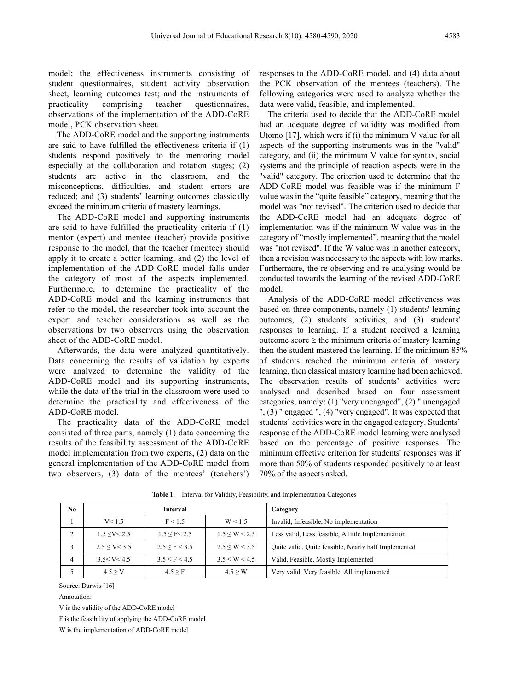model; the effectiveness instruments consisting of student questionnaires, student activity observation sheet, learning outcomes test; and the instruments of practicality comprising teacher questionnaires, observations of the implementation of the ADD-CoRE model, PCK observation sheet.

The ADD-CoRE model and the supporting instruments are said to have fulfilled the effectiveness criteria if (1) students respond positively to the mentoring model especially at the collaboration and rotation stages; (2) students are active in the classroom, and the misconceptions, difficulties, and student errors are reduced; and (3) students' learning outcomes classically exceed the minimum criteria of mastery learnings.

The ADD-CoRE model and supporting instruments are said to have fulfilled the practicality criteria if (1) mentor (expert) and mentee (teacher) provide positive response to the model, that the teacher (mentee) should apply it to create a better learning, and (2) the level of implementation of the ADD-CoRE model falls under the category of most of the aspects implemented. Furthermore, to determine the practicality of the ADD-CoRE model and the learning instruments that refer to the model, the researcher took into account the expert and teacher considerations as well as the observations by two observers using the observation sheet of the ADD-CoRE model.

Afterwards, the data were analyzed quantitatively. Data concerning the results of validation by experts were analyzed to determine the validity of the ADD-CoRE model and its supporting instruments, while the data of the trial in the classroom were used to determine the practicality and effectiveness of the ADD-CoRE model.

The practicality data of the ADD-CoRE model consisted of three parts, namely (1) data concerning the results of the feasibility assessment of the ADD-CoRE model implementation from two experts, (2) data on the general implementation of the ADD-CoRE model from two observers, (3) data of the mentees' (teachers') responses to the ADD-CoRE model, and (4) data about the PCK observation of the mentees (teachers). The following categories were used to analyze whether the data were valid, feasible, and implemented.

The criteria used to decide that the ADD-CoRE model had an adequate degree of validity was modified from Utomo [17], which were if (i) the minimum V value for all aspects of the supporting instruments was in the "valid" category, and (ii) the minimum V value for syntax, social systems and the principle of reaction aspects were in the "valid" category. The criterion used to determine that the ADD-CoRE model was feasible was if the minimum F value was in the "quite feasible" category, meaning that the model was "not revised". The criterion used to decide that the ADD-CoRE model had an adequate degree of implementation was if the minimum W value was in the category of "mostly implemented", meaning that the model was "not revised". If the W value was in another category, then a revision was necessary to the aspects with low marks. Furthermore, the re-observing and re-analysing would be conducted towards the learning of the revised ADD-CoRE model.

Analysis of the ADD-CoRE model effectiveness was based on three components, namely (1) students' learning outcomes, (2) students' activities, and (3) students' responses to learning. If a student received a learning outcome score  $\geq$  the minimum criteria of mastery learning then the student mastered the learning. If the minimum 85% of students reached the minimum criteria of mastery learning, then classical mastery learning had been achieved. The observation results of students' activities were analysed and described based on four assessment categories, namely: (1) "very unengaged", (2) " unengaged ", (3) " engaged ", (4) "very engaged". It was expected that students' activities were in the engaged category. Students' response of the ADD-CoRE model learning were analysed based on the percentage of positive responses. The minimum effective criterion for students' responses was if more than 50% of students responded positively to at least 70% of the aspects asked.

| No            | Interval              |                       |                     | Category                                             |  |
|---------------|-----------------------|-----------------------|---------------------|------------------------------------------------------|--|
|               | V < 1.5               | F < 1.5               | W < 1.5             | Invalid, Infeasible, No implementation               |  |
| $\mathcal{L}$ | $1.5 \leq V \leq 2.5$ | $1.5 \leq F \leq 2.5$ | $1.5 \le W \le 2.5$ | Less valid, Less feasible, A little Implementation   |  |
|               | $2.5 \le V \le 3.5$   | 2.5 < F < 3.5         | $2.5 \le W \le 3.5$ | Quite valid, Quite feasible, Nearly half Implemented |  |
| 4             | 3.5 < V < 4.5         | $3.5 \le F \le 4.5$   | $3.5 \le W \le 4.5$ | Valid, Feasible, Mostly Implemented                  |  |
|               | 4.5 > V               | $4.5 \geq F$          | 4.5 > W             | Very valid, Very feasible, All implemented           |  |

**Table 1.** Interval for Validity, Feasibility, and Implementation Categories

Source: Darwis [16]

Annotation:

V is the validity of the ADD-CoRE model

F is the feasibility of applying the ADD-CoRE model

W is the implementation of ADD-CoRE model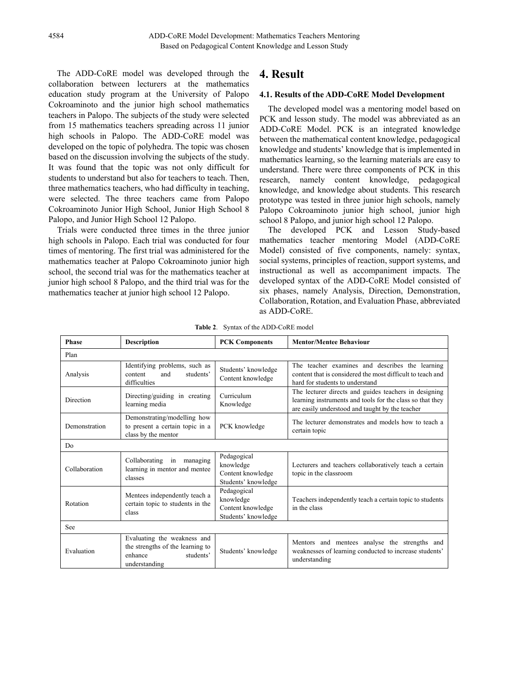The ADD-CoRE model was developed through the collaboration between lecturers at the mathematics education study program at the University of Palopo Cokroaminoto and the junior high school mathematics teachers in Palopo. The subjects of the study were selected from 15 mathematics teachers spreading across 11 junior high schools in Palopo. The ADD-CoRE model was developed on the topic of polyhedra. The topic was chosen based on the discussion involving the subjects of the study. It was found that the topic was not only difficult for students to understand but also for teachers to teach. Then, three mathematics teachers, who had difficulty in teaching, were selected. The three teachers came from Palopo Cokroaminoto Junior High School, Junior High School 8 Palopo, and Junior High School 12 Palopo.

Trials were conducted three times in the three junior high schools in Palopo. Each trial was conducted for four times of mentoring. The first trial was administered for the mathematics teacher at Palopo Cokroaminoto junior high school, the second trial was for the mathematics teacher at junior high school 8 Palopo, and the third trial was for the mathematics teacher at junior high school 12 Palopo.

# **4. Result**

#### **4.1. Results of the ADD-CoRE Model Development**

The developed model was a mentoring model based on PCK and lesson study. The model was abbreviated as an ADD-CoRE Model. PCK is an integrated knowledge between the mathematical content knowledge, pedagogical knowledge and students' knowledge that is implemented in mathematics learning, so the learning materials are easy to understand. There were three components of PCK in this research, namely content knowledge, pedagogical knowledge, and knowledge about students. This research prototype was tested in three junior high schools, namely Palopo Cokroaminoto junior high school, junior high school 8 Palopo, and junior high school 12 Palopo.

The developed PCK and Lesson Study-based mathematics teacher mentoring Model (ADD-CoRE Model) consisted of five components, namely: syntax, social systems, principles of reaction, support systems, and instructional as well as accompaniment impacts. The developed syntax of the ADD-CoRE Model consisted of six phases, namely Analysis, Direction, Demonstration, Collaboration, Rotation, and Evaluation Phase, abbreviated as ADD-CoRE.

| <b>Description</b><br><b>Phase</b> |                                                                                                          | <b>PCK Components</b>                                                | <b>Mentor/Mentee Behaviour</b>                                                                                                                                        |  |  |
|------------------------------------|----------------------------------------------------------------------------------------------------------|----------------------------------------------------------------------|-----------------------------------------------------------------------------------------------------------------------------------------------------------------------|--|--|
| Plan                               |                                                                                                          |                                                                      |                                                                                                                                                                       |  |  |
| Analysis                           | Identifying problems, such as<br>students'<br>content<br>and<br>difficulties                             | Students' knowledge<br>Content knowledge                             | The teacher examines and describes the learning<br>content that is considered the most difficult to teach and<br>hard for students to understand                      |  |  |
| Direction                          | Directing/guiding in creating<br>learning media                                                          | Curriculum<br>Knowledge                                              | The lecturer directs and guides teachers in designing<br>learning instruments and tools for the class so that they<br>are easily understood and taught by the teacher |  |  |
| Demonstration                      | Demonstrating/modelling how<br>to present a certain topic in a<br>class by the mentor                    | PCK knowledge                                                        | The lecturer demonstrates and models how to teach a<br>certain topic                                                                                                  |  |  |
| D <sub>0</sub>                     |                                                                                                          |                                                                      |                                                                                                                                                                       |  |  |
| Collaboration                      | Collaborating<br>in<br>managing<br>learning in mentor and mentee<br>classes                              | Pedagogical<br>knowledge<br>Content knowledge<br>Students' knowledge | Lecturers and teachers collaboratively teach a certain<br>topic in the classroom                                                                                      |  |  |
| Rotation                           | Mentees independently teach a<br>certain topic to students in the<br>class                               | Pedagogical<br>knowledge<br>Content knowledge<br>Students' knowledge | Teachers independently teach a certain topic to students<br>in the class                                                                                              |  |  |
| See                                |                                                                                                          |                                                                      |                                                                                                                                                                       |  |  |
| Evaluation                         | Evaluating the weakness and<br>the strengths of the learning to<br>students'<br>enhance<br>understanding | Students' knowledge                                                  | Mentors and mentees analyse the strengths and<br>weaknesses of learning conducted to increase students'<br>understanding                                              |  |  |

**Table 2**. Syntax of the ADD-CoRE model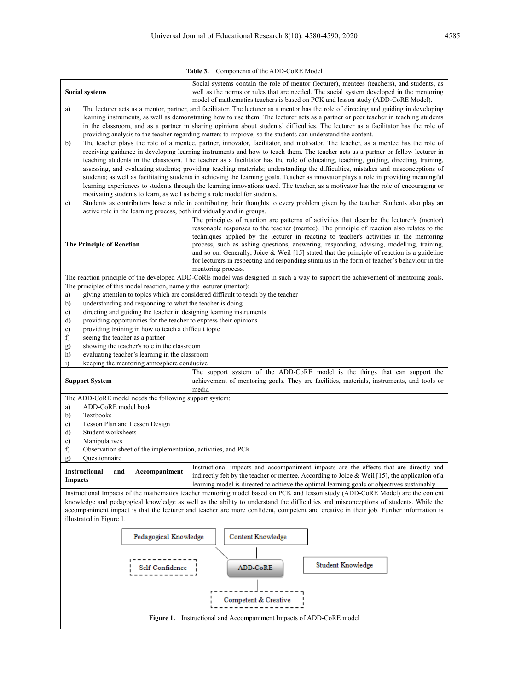**Table 3.** Components of the ADD-CoRE Model

| <b>Social systems</b>                                                                                                                                                                                                                                                   | Social systems contain the role of mentor (lecturer), mentees (teachers), and students, as<br>well as the norms or rules that are needed. The social system developed in the mentoring<br>model of mathematics teachers is based on PCK and lesson study (ADD-CoRE Model).                                                                                                                                         |  |  |  |  |  |
|-------------------------------------------------------------------------------------------------------------------------------------------------------------------------------------------------------------------------------------------------------------------------|--------------------------------------------------------------------------------------------------------------------------------------------------------------------------------------------------------------------------------------------------------------------------------------------------------------------------------------------------------------------------------------------------------------------|--|--|--|--|--|
| a)                                                                                                                                                                                                                                                                      | The lecturer acts as a mentor, partner, and facilitator. The lecturer as a mentor has the role of directing and guiding in developing<br>learning instruments, as well as demonstrating how to use them. The lecturer acts as a partner or peer teacher in teaching students<br>in the classroom, and as a partner in sharing opinions about students' difficulties. The lecturer as a facilitator has the role of |  |  |  |  |  |
| providing analysis to the teacher regarding matters to improve, so the students can understand the content.<br>The teacher plays the role of a mentee, partner, innovator, facilitator, and motivator. The teacher, as a mentee has the role of<br>b)                   |                                                                                                                                                                                                                                                                                                                                                                                                                    |  |  |  |  |  |
| receiving guidance in developing learning instruments and how to teach them. The teacher acts as a partner or fellow lecturer in                                                                                                                                        |                                                                                                                                                                                                                                                                                                                                                                                                                    |  |  |  |  |  |
| teaching students in the classroom. The teacher as a facilitator has the role of educating, teaching, guiding, directing, training,<br>assessing, and evaluating students; providing teaching materials; understanding the difficulties, mistakes and misconceptions of |                                                                                                                                                                                                                                                                                                                                                                                                                    |  |  |  |  |  |
|                                                                                                                                                                                                                                                                         | students; as well as facilitating students in achieving the learning goals. Teacher as innovator plays a role in providing meaningful<br>learning experiences to students through the learning innovations used. The teacher, as a motivator has the role of encouraging or                                                                                                                                        |  |  |  |  |  |
| motivating students to learn, as well as being a role model for students.                                                                                                                                                                                               |                                                                                                                                                                                                                                                                                                                                                                                                                    |  |  |  |  |  |
| $\mathbf{c})$<br>active role in the learning process, both individually and in groups.                                                                                                                                                                                  | Students as contributors have a role in contributing their thoughts to every problem given by the teacher. Students also play an                                                                                                                                                                                                                                                                                   |  |  |  |  |  |
|                                                                                                                                                                                                                                                                         | The principles of reaction are patterns of activities that describe the lecturer's (mentor)<br>reasonable responses to the teacher (mentee). The principle of reaction also relates to the<br>techniques applied by the lecturer in reacting to teacher's activities in the mentoring                                                                                                                              |  |  |  |  |  |
| <b>The Principle of Reaction</b>                                                                                                                                                                                                                                        | process, such as asking questions, answering, responding, advising, modelling, training,<br>and so on. Generally, Joice & Weil $[15]$ stated that the principle of reaction is a guideline<br>for lecturers in respecting and responding stimulus in the form of teacher's behaviour in the                                                                                                                        |  |  |  |  |  |
|                                                                                                                                                                                                                                                                         | mentoring process.<br>The reaction principle of the developed ADD-CoRE model was designed in such a way to support the achievement of mentoring goals.                                                                                                                                                                                                                                                             |  |  |  |  |  |
| The principles of this model reaction, namely the lecturer (mentor):<br>a)                                                                                                                                                                                              | giving attention to topics which are considered difficult to teach by the teacher                                                                                                                                                                                                                                                                                                                                  |  |  |  |  |  |
| b)<br>understanding and responding to what the teacher is doing                                                                                                                                                                                                         |                                                                                                                                                                                                                                                                                                                                                                                                                    |  |  |  |  |  |
| $\mathbf{c})$<br>directing and guiding the teacher in designing learning instruments                                                                                                                                                                                    |                                                                                                                                                                                                                                                                                                                                                                                                                    |  |  |  |  |  |
| $\mathbf{d}$<br>providing opportunities for the teacher to express their opinions<br>e)<br>providing training in how to teach a difficult topic                                                                                                                         |                                                                                                                                                                                                                                                                                                                                                                                                                    |  |  |  |  |  |
| f)<br>seeing the teacher as a partner                                                                                                                                                                                                                                   |                                                                                                                                                                                                                                                                                                                                                                                                                    |  |  |  |  |  |
| showing the teacher's role in the classroom<br>g)                                                                                                                                                                                                                       |                                                                                                                                                                                                                                                                                                                                                                                                                    |  |  |  |  |  |
| h)<br>evaluating teacher's learning in the classroom<br>i)<br>keeping the mentoring atmosphere conducive                                                                                                                                                                |                                                                                                                                                                                                                                                                                                                                                                                                                    |  |  |  |  |  |
|                                                                                                                                                                                                                                                                         | The support system of the ADD-CoRE model is the things that can support the                                                                                                                                                                                                                                                                                                                                        |  |  |  |  |  |
| <b>Support System</b>                                                                                                                                                                                                                                                   | achievement of mentoring goals. They are facilities, materials, instruments, and tools or<br>media                                                                                                                                                                                                                                                                                                                 |  |  |  |  |  |
| The ADD-CoRE model needs the following support system:<br>ADD-CoRE model book<br>a)                                                                                                                                                                                     |                                                                                                                                                                                                                                                                                                                                                                                                                    |  |  |  |  |  |
| Textbooks<br>b)                                                                                                                                                                                                                                                         |                                                                                                                                                                                                                                                                                                                                                                                                                    |  |  |  |  |  |
| Lesson Plan and Lesson Design<br>c)                                                                                                                                                                                                                                     |                                                                                                                                                                                                                                                                                                                                                                                                                    |  |  |  |  |  |
| d)<br>Student worksheets<br>Manipulatives<br>e)                                                                                                                                                                                                                         |                                                                                                                                                                                                                                                                                                                                                                                                                    |  |  |  |  |  |
| f)<br>Observation sheet of the implementation, activities, and PCK<br>g)<br>Questionnaire                                                                                                                                                                               |                                                                                                                                                                                                                                                                                                                                                                                                                    |  |  |  |  |  |
| Accompaniment<br><b>Instructional</b><br>and<br><b>Impacts</b>                                                                                                                                                                                                          | Instructional impacts and accompaniment impacts are the effects that are directly and<br>indirectly felt by the teacher or mentee. According to Joice & Weil [15], the application of a<br>learning model is directed to achieve the optimal learning goals or objectives sustainably.                                                                                                                             |  |  |  |  |  |
|                                                                                                                                                                                                                                                                         | Instructional Impacts of the mathematics teacher mentoring model based on PCK and lesson study (ADD-CoRE Model) are the content                                                                                                                                                                                                                                                                                    |  |  |  |  |  |
|                                                                                                                                                                                                                                                                         | knowledge and pedagogical knowledge as well as the ability to understand the difficulties and misconceptions of students. While the                                                                                                                                                                                                                                                                                |  |  |  |  |  |
| accompaniment impact is that the lecturer and teacher are more confident, competent and creative in their job. Further information is<br>illustrated in Figure 1.                                                                                                       |                                                                                                                                                                                                                                                                                                                                                                                                                    |  |  |  |  |  |
|                                                                                                                                                                                                                                                                         |                                                                                                                                                                                                                                                                                                                                                                                                                    |  |  |  |  |  |
| Pedagogical Knowledge<br>Content Knowledge                                                                                                                                                                                                                              |                                                                                                                                                                                                                                                                                                                                                                                                                    |  |  |  |  |  |
| Student Knowledge<br>ADD-CoRE<br>Self Confidenc                                                                                                                                                                                                                         |                                                                                                                                                                                                                                                                                                                                                                                                                    |  |  |  |  |  |
| Competent & Creative                                                                                                                                                                                                                                                    |                                                                                                                                                                                                                                                                                                                                                                                                                    |  |  |  |  |  |
| Figure 1. Instructional and Accompaniment Impacts of ADD-CoRE model                                                                                                                                                                                                     |                                                                                                                                                                                                                                                                                                                                                                                                                    |  |  |  |  |  |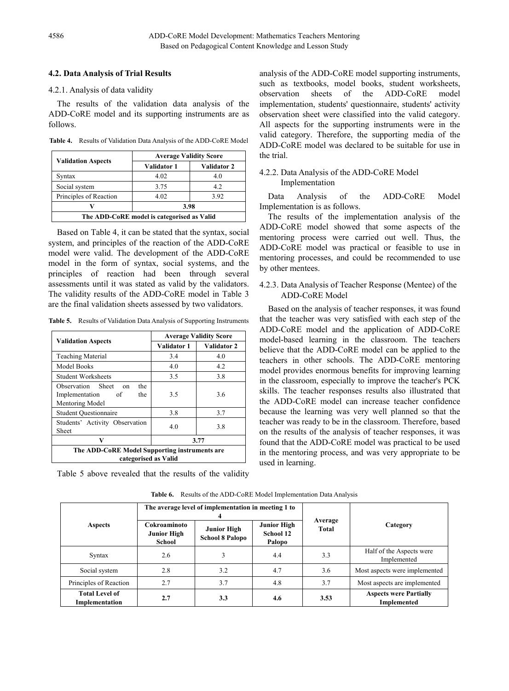#### **4.2. Data Analysis of Trial Results**

#### 4.2.1. Analysis of data validity

The results of the validation data analysis of the ADD-CoRE model and its supporting instruments are as follows.

**Table 4.** Results of Validation Data Analysis of the ADD-CoRE Model

|                                            | <b>Average Validity Score</b> |             |  |  |
|--------------------------------------------|-------------------------------|-------------|--|--|
| <b>Validation Aspects</b>                  | Validator 1                   | Validator 2 |  |  |
| <b>Syntax</b>                              | 4.02                          | 4.0         |  |  |
| Social system                              | 3.75                          | 4.2         |  |  |
| Principles of Reaction                     | 4.02                          | 3.92        |  |  |
| 3.98                                       |                               |             |  |  |
| The ADD-CoRE model is categorised as Valid |                               |             |  |  |

Based on Table 4, it can be stated that the syntax, social system, and principles of the reaction of the ADD-CoRE model were valid. The development of the ADD-CoRE model in the form of syntax, social systems, and the principles of reaction had been through several assessments until it was stated as valid by the validators. The validity results of the ADD-CoRE model in Table 3 are the final validation sheets assessed by two validators.

**Table 5.** Results of Validation Data Analysis of Supporting Instruments

|                                                                                    | <b>Average Validity Score</b> |             |  |  |
|------------------------------------------------------------------------------------|-------------------------------|-------------|--|--|
| <b>Validation Aspects</b>                                                          | Validator 1                   | Validator 2 |  |  |
| <b>Teaching Material</b>                                                           | 3.4                           | 4.0         |  |  |
| <b>Model Books</b>                                                                 | 4.0                           | 4.2         |  |  |
| <b>Student Worksheets</b>                                                          | 3.5                           | 3.8         |  |  |
| Observation Sheet<br>the<br>on<br>Implementation<br>the<br>- of<br>Mentoring Model | 3.5                           | 3.6         |  |  |
| <b>Student Questionnaire</b>                                                       | 3.8                           | 3.7         |  |  |
| Students' Activity Observation<br>Sheet                                            | 4.0                           | 3.8         |  |  |
| V                                                                                  | 3.77                          |             |  |  |
| The ADD-CoRE Model Supporting instruments are<br>categorised as Valid              |                               |             |  |  |

Table 5 above revealed that the results of the validity

analysis of the ADD-CoRE model supporting instruments, such as textbooks, model books, student worksheets, observation sheets of the ADD-CoRE model implementation, students' questionnaire, students' activity observation sheet were classified into the valid category. All aspects for the supporting instruments were in the valid category. Therefore, the supporting media of the ADD-CoRE model was declared to be suitable for use in the trial.

#### 4.2.2. Data Analysis of the ADD-CoRE Model Implementation

Data Analysis of the ADD-CoRE Model Implementation is as follows.

The results of the implementation analysis of the ADD-CoRE model showed that some aspects of the mentoring process were carried out well. Thus, the ADD-CoRE model was practical or feasible to use in mentoring processes, and could be recommended to use by other mentees.

#### 4.2.3. Data Analysis of Teacher Response (Mentee) of the ADD-CoRE Model

Based on the analysis of teacher responses, it was found that the teacher was very satisfied with each step of the ADD-CoRE model and the application of ADD-CoRE model-based learning in the classroom. The teachers believe that the ADD-CoRE model can be applied to the teachers in other schools. The ADD-CoRE mentoring model provides enormous benefits for improving learning in the classroom, especially to improve the teacher's PCK skills. The teacher responses results also illustrated that the ADD-CoRE model can increase teacher confidence because the learning was very well planned so that the teacher was ready to be in the classroom. Therefore, based on the results of the analysis of teacher responses, it was found that the ADD-CoRE model was practical to be used in the mentoring process, and was very appropriate to be used in learning.

|                                         |                                                     | The average level of implementation in meeting 1 to |                                           | Average<br>Total |                                                     |  |
|-----------------------------------------|-----------------------------------------------------|-----------------------------------------------------|-------------------------------------------|------------------|-----------------------------------------------------|--|
| Aspects                                 | Cokroaminoto<br><b>Junior High</b><br><b>School</b> | Junior High<br><b>School 8 Palopo</b>               | <b>Junior High</b><br>School 12<br>Palopo |                  | Category                                            |  |
| Syntax                                  | 2.6                                                 |                                                     | 4.4                                       | 3.3              | Half of the Aspects were<br>Implemented             |  |
| Social system                           | 2.8                                                 | 3.2                                                 | 4.7                                       | 3.6              | Most aspects were implemented                       |  |
| Principles of Reaction                  | 2.7                                                 | 3.7                                                 | 4.8                                       | 3.7              | Most aspects are implemented                        |  |
| <b>Total Level of</b><br>Implementation | 2.7                                                 | 3.3                                                 | 4.6                                       | 3.53             | <b>Aspects were Partially</b><br><b>Implemented</b> |  |

**Table 6.** Results of the ADD-CoRE Model Implementation Data Analysis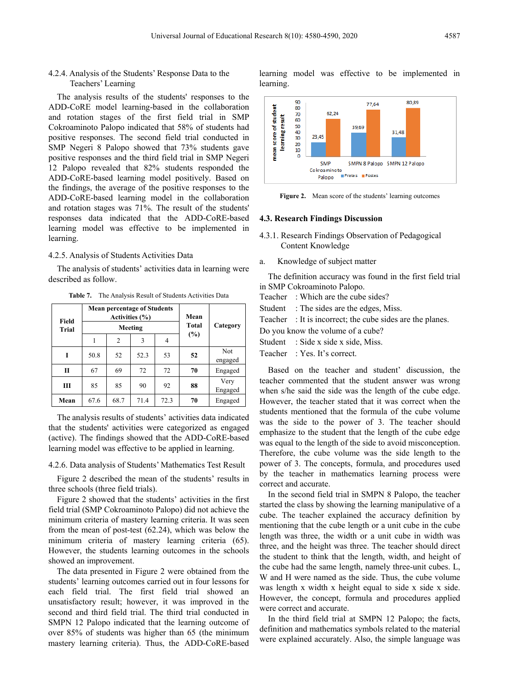#### 4.2.4. Analysis of the Students' Response Data to the Teachers' Learning

The analysis results of the students' responses to the ADD-CoRE model learning-based in the collaboration and rotation stages of the first field trial in SMP Cokroaminoto Palopo indicated that 58% of students had positive responses. The second field trial conducted in SMP Negeri 8 Palopo showed that 73% students gave positive responses and the third field trial in SMP Negeri 12 Palopo revealed that 82% students responded the ADD-CoRE-based learning model positively. Based on the findings, the average of the positive responses to the ADD-CoRE-based learning model in the collaboration and rotation stages was 71%. The result of the students' responses data indicated that the ADD-CoRE-based learning model was effective to be implemented in learning.

#### 4.2.5. Analysis of Students Activities Data

The analysis of students' activities data in learning were described as follow.

**Table 7.** The Analysis Result of Students Activities Data

| Field | <b>Mean percentage of Students</b><br>Activities (%) |         |              |          | Mean |                 |
|-------|------------------------------------------------------|---------|--------------|----------|------|-----------------|
| Trial |                                                      | Meeting | <b>Total</b> | Category |      |                 |
|       |                                                      | 2       | 3            | 4        | (%)  |                 |
| T     | 50.8                                                 | 52      | 52.3         | 53       | 52   | Not<br>engaged  |
| П     | 67                                                   | 69      | 72           | 72       | 70   | Engaged         |
| Ш     | 85                                                   | 85      | 90           | 92       | 88   | Very<br>Engaged |
| Mean  | 67.6                                                 | 68.7    | 71.4         | 72.3     | 70   | Engaged         |

The analysis results of students' activities data indicated that the students' activities were categorized as engaged (active). The findings showed that the ADD-CoRE-based learning model was effective to be applied in learning.

4.2.6. Data analysis of Students' Mathematics Test Result

Figure 2 described the mean of the students' results in three schools (three field trials).

Figure 2 showed that the students' activities in the first field trial (SMP Cokroaminoto Palopo) did not achieve the minimum criteria of mastery learning criteria. It was seen from the mean of post-test (62.24), which was below the minimum criteria of mastery learning criteria (65). However, the students learning outcomes in the schools showed an improvement.

The data presented in Figure 2 were obtained from the students' learning outcomes carried out in four lessons for each field trial. The first field trial showed an unsatisfactory result; however, it was improved in the second and third field trial. The third trial conducted in SMPN 12 Palopo indicated that the learning outcome of over 85% of students was higher than 65 (the minimum mastery learning criteria). Thus, the ADD-CoRE-based

learning model was effective to be implemented in learning.



**Figure 2.** Mean score of the students' learning outcomes

#### **4.3. Research Findings Discussion**

- 4.3.1. Research Findings Observation of Pedagogical Content Knowledge
- a. Knowledge of subject matter

The definition accuracy was found in the first field trial in SMP Cokroaminoto Palopo.

Teacher : Which are the cube sides?

Student : The sides are the edges, Miss.

Teacher : It is incorrect; the cube sides are the planes.

- Do you know the volume of a cube?
- Student : Side x side x side, Miss.
- Teacher : Yes. It's correct.

Based on the teacher and student' discussion, the teacher commented that the student answer was wrong when s/he said the side was the length of the cube edge. However, the teacher stated that it was correct when the students mentioned that the formula of the cube volume was the side to the power of 3. The teacher should emphasize to the student that the length of the cube edge was equal to the length of the side to avoid misconception. Therefore, the cube volume was the side length to the power of 3. The concepts, formula, and procedures used by the teacher in mathematics learning process were correct and accurate.

In the second field trial in SMPN 8 Palopo, the teacher started the class by showing the learning manipulative of a cube. The teacher explained the accuracy definition by mentioning that the cube length or a unit cube in the cube length was three, the width or a unit cube in width was three, and the height was three. The teacher should direct the student to think that the length, width, and height of the cube had the same length, namely three-unit cubes. L, W and H were named as the side. Thus, the cube volume was length x width x height equal to side x side x side. However, the concept, formula and procedures applied were correct and accurate.

In the third field trial at SMPN 12 Palopo; the facts, definition and mathematics symbols related to the material were explained accurately. Also, the simple language was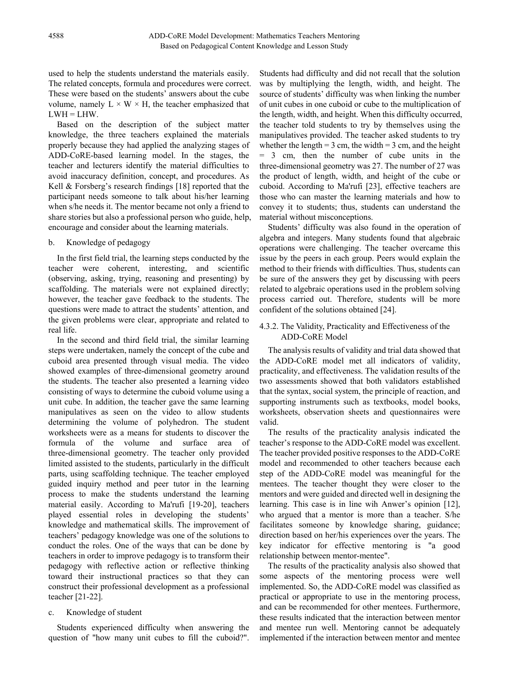used to help the students understand the materials easily. The related concepts, formula and procedures were correct. These were based on the students' answers about the cube volume, namely  $L \times W \times H$ , the teacher emphasized that  $LWH = LHW$ .

Based on the description of the subject matter knowledge, the three teachers explained the materials properly because they had applied the analyzing stages of ADD-CoRE-based learning model. In the stages, the teacher and lecturers identify the material difficulties to avoid inaccuracy definition, concept, and procedures. As Kell & Forsberg's research findings [18] reported that the participant needs someone to talk about his/her learning when s/he needs it. The mentor became not only a friend to share stories but also a professional person who guide, help, encourage and consider about the learning materials.

#### b. Knowledge of pedagogy

In the first field trial, the learning steps conducted by the teacher were coherent, interesting, and scientific (observing, asking, trying, reasoning and presenting) by scaffolding. The materials were not explained directly; however, the teacher gave feedback to the students. The questions were made to attract the students' attention, and the given problems were clear, appropriate and related to real life.

In the second and third field trial, the similar learning steps were undertaken, namely the concept of the cube and cuboid area presented through visual media. The video showed examples of three-dimensional geometry around the students. The teacher also presented a learning video consisting of ways to determine the cuboid volume using a unit cube. In addition, the teacher gave the same learning manipulatives as seen on the video to allow students determining the volume of polyhedron. The student worksheets were as a means for students to discover the formula of the volume and surface area of three-dimensional geometry. The teacher only provided limited assisted to the students, particularly in the difficult parts, using scaffolding technique. The teacher employed guided inquiry method and peer tutor in the learning process to make the students understand the learning material easily. According to Ma'rufi [19-20], teachers played essential roles in developing the students' knowledge and mathematical skills. The improvement of teachers' pedagogy knowledge was one of the solutions to conduct the roles. One of the ways that can be done by teachers in order to improve pedagogy is to transform their pedagogy with reflective action or reflective thinking toward their instructional practices so that they can construct their professional development as a professional teacher [21-22].

#### c. Knowledge of student

Students experienced difficulty when answering the question of "how many unit cubes to fill the cuboid?".

Students had difficulty and did not recall that the solution was by multiplying the length, width, and height. The source of students' difficulty was when linking the number of unit cubes in one cuboid or cube to the multiplication of the length, width, and height. When this difficulty occurred, the teacher told students to try by themselves using the manipulatives provided. The teacher asked students to try whether the length =  $3 \text{ cm}$ , the width =  $3 \text{ cm}$ , and the height = 3 cm, then the number of cube units in the three-dimensional geometry was 27. The number of 27 was the product of length, width, and height of the cube or cuboid. According to Ma'rufi [23], effective teachers are those who can master the learning materials and how to convey it to students; thus, students can understand the material without misconceptions.

Students' difficulty was also found in the operation of algebra and integers. Many students found that algebraic operations were challenging. The teacher overcame this issue by the peers in each group. Peers would explain the method to their friends with difficulties. Thus, students can be sure of the answers they get by discussing with peers related to algebraic operations used in the problem solving process carried out. Therefore, students will be more confident of the solutions obtained [24].

## 4.3.2. The Validity, Practicality and Effectiveness of the ADD-CoRE Model

The analysis results of validity and trial data showed that the ADD-CoRE model met all indicators of validity, practicality, and effectiveness. The validation results of the two assessments showed that both validators established that the syntax, social system, the principle of reaction, and supporting instruments such as textbooks, model books, worksheets, observation sheets and questionnaires were valid.

The results of the practicality analysis indicated the teacher's response to the ADD-CoRE model was excellent. The teacher provided positive responses to the ADD-CoRE model and recommended to other teachers because each step of the ADD-CoRE model was meaningful for the mentees. The teacher thought they were closer to the mentors and were guided and directed well in designing the learning. This case is in line wih Anwer's opinion [12], who argued that a mentor is more than a teacher. S/he facilitates someone by knowledge sharing, guidance; direction based on her/his experiences over the years. The key indicator for effective mentoring is "a good relationship between mentor-mentee".

The results of the practicality analysis also showed that some aspects of the mentoring process were well implemented. So, the ADD-CoRE model was classified as practical or appropriate to use in the mentoring process, and can be recommended for other mentees. Furthermore, these results indicated that the interaction between mentor and mentee run well. Mentoring cannot be adequately implemented if the interaction between mentor and mentee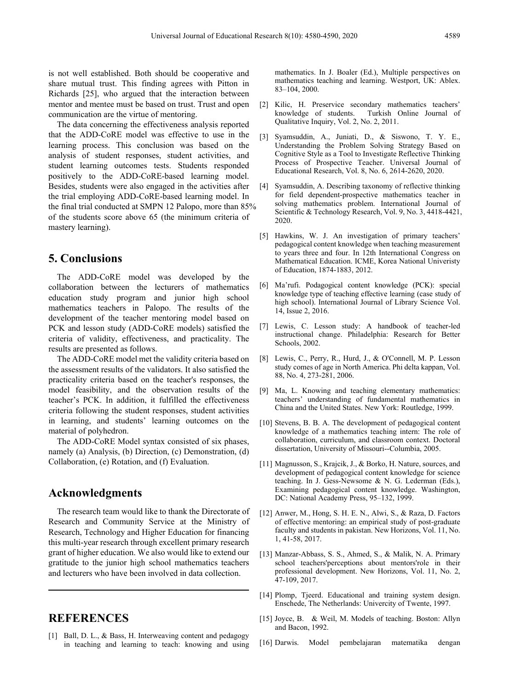is not well established. Both should be cooperative and share mutual trust. This finding agrees with Pitton in Richards [25], who argued that the interaction between mentor and mentee must be based on trust. Trust and open communication are the virtue of mentoring.

The data concerning the effectiveness analysis reported that the ADD-CoRE model was effective to use in the learning process. This conclusion was based on the analysis of student responses, student activities, and student learning outcomes tests. Students responded positively to the ADD-CoRE-based learning model. Besides, students were also engaged in the activities after the trial employing ADD-CoRE-based learning model. In the final trial conducted at SMPN 12 Palopo, more than 85% of the students score above 65 (the minimum criteria of mastery learning).

## **5. Conclusions**

The ADD-CoRE model was developed by the collaboration between the lecturers of mathematics education study program and junior high school mathematics teachers in Palopo. The results of the development of the teacher mentoring model based on PCK and lesson study (ADD-CoRE models) satisfied the criteria of validity, effectiveness, and practicality. The results are presented as follows.

The ADD-CoRE model met the validity criteria based on the assessment results of the validators. It also satisfied the practicality criteria based on the teacher's responses, the model feasibility, and the observation results of the teacher's PCK. In addition, it fulfilled the effectiveness criteria following the student responses, student activities in learning, and students' learning outcomes on the material of polyhedron.

The ADD-CoRE Model syntax consisted of six phases, namely (a) Analysis, (b) Direction, (c) Demonstration, (d) Collaboration, (e) Rotation, and (f) Evaluation.

## **Acknowledgments**

The research team would like to thank the Directorate of Research and Community Service at the Ministry of Research, Technology and Higher Education for financing this multi-year research through excellent primary research grant of higher education. We also would like to extend our gratitude to the junior high school mathematics teachers and lecturers who have been involved in data collection.

# **REFERENCES**

[1] Ball, D. L., & Bass, H. Interweaving content and pedagogy in teaching and learning to teach: knowing and using mathematics. In J. Boaler (Ed.), Multiple perspectives on mathematics teaching and learning. Westport, UK: Ablex. 83–104, 2000.

- [2] Kilic, H. Preservice secondary mathematics teachers' Turkish Online Journal of Qualitative Inquiry, Vol. 2, No. 2, 2011.
- [3] Syamsuddin, A., Juniati, D., & Siswono, T. Y. E., Understanding the Problem Solving Strategy Based on Cognitive Style as a Tool to Investigate Reflective Thinking Process of Prospective Teacher. Universal Journal of Educational Research, Vol. 8, No. 6, 2614-2620, 2020.
- [4] Syamsuddin, A. Describing taxonomy of reflective thinking for field dependent-prospective mathematics teacher in solving mathematics problem. International Journal of Scientific & Technology Research, Vol. 9, No. 3, 4418-4421, 2020.
- [5] Hawkins, W. J. An investigation of primary teachers' pedagogical content knowledge when teaching measurement to years three and four. In 12th International Congress on Mathematical Education. ICME, Korea National Univeristy of Education, 1874-1883, 2012.
- [6] Ma'rufi. Podagogical content knowledge (PCK): special knowledge type of teaching effective learning (case study of high school). International Journal of Library Science Vol. 14, Issue 2, 2016.
- [7] Lewis, C. Lesson study: A handbook of teacher-led instructional change. Philadelphia: Research for Better Schools, 2002.
- [8] Lewis, C., Perry, R., Hurd, J., & O'Connell, M. P. Lesson study comes of age in North America. Phi delta kappan, Vol. 88, No. 4, 273-281, 2006.
- [9] Ma, L. Knowing and teaching elementary mathematics: teachers' understanding of fundamental mathematics in China and the United States. New York: Routledge, 1999.
- [10] Stevens, B. B. A. The development of pedagogical content knowledge of a mathematics teaching intern: The role of collaboration, curriculum, and classroom context. Doctoral dissertation, University of Missouri--Columbia, 2005.
- [11] Magnusson, S., Krajcik, J., & Borko, H. Nature, sources, and development of pedagogical content knowledge for science teaching. In J. Gess-Newsome & N. G. Lederman (Eds.), Examining pedagogical content knowledge. Washington, DC: National Academy Press, 95–132, 1999.
- [12] Anwer, M., Hong, S. H. E. N., Alwi, S., & Raza, D. Factors of effective mentoring: an empirical study of post-graduate faculty and students in pakistan. New Horizons, Vol. 11, No. 1, 41-58, 2017.
- [13] Manzar-Abbass, S. S., Ahmed, S., & Malik, N. A. Primary school teachers'perceptions about mentors'role in their professional development. New Horizons, Vol. 11, No. 2, 47-109, 2017.
- [14] Plomp, Tjeerd. Educational and training system design. Enschede, The Netherlands: Univercity of Twente, 1997.
- [15] Joyce, B. & Weil, M. Models of teaching. Boston: Allyn and Bacon, 1992.
- [16] Darwis. Model pembelajaran matematika dengan